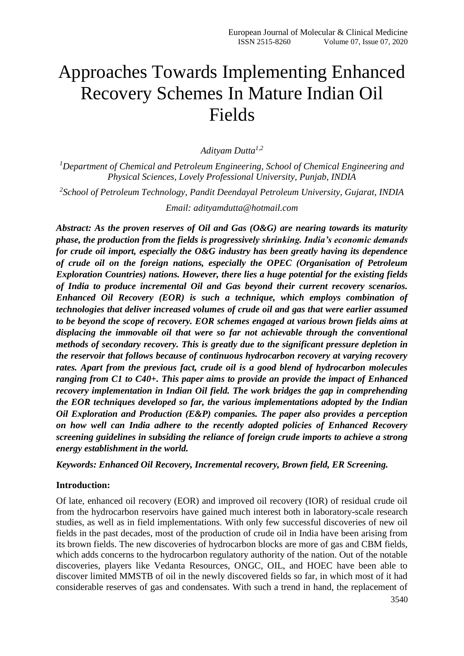# Approaches Towards Implementing Enhanced Recovery Schemes In Mature Indian Oil Fields

*Adityam Dutta1,2*

*<sup>1</sup>Department of Chemical and Petroleum Engineering, School of Chemical Engineering and Physical Sciences, Lovely Professional University, Punjab, INDIA*

*2 School of Petroleum Technology, Pandit Deendayal Petroleum University, Gujarat, INDIA*

*Email: adityamdutta@hotmail.com*

*Abstract: As the proven reserves of Oil and Gas (O&G) are nearing towards its maturity phase, the production from the fields is progressively shrinking. India's economic demands for crude oil import, especially the O&G industry has been greatly having its dependence of crude oil on the foreign nations, especially the OPEC (Organisation of Petroleum Exploration Countries) nations. However, there lies a huge potential for the existing fields of India to produce incremental Oil and Gas beyond their current recovery scenarios. Enhanced Oil Recovery (EOR) is such a technique, which employs combination of technologies that deliver increased volumes of crude oil and gas that were earlier assumed to be beyond the scope of recovery. EOR schemes engaged at various brown fields aims at displacing the immovable oil that were so far not achievable through the conventional methods of secondary recovery. This is greatly due to the significant pressure depletion in the reservoir that follows because of continuous hydrocarbon recovery at varying recovery rates. Apart from the previous fact, crude oil is a good blend of hydrocarbon molecules ranging from C1 to C40+. This paper aims to provide an provide the impact of Enhanced recovery implementation in Indian Oil field. The work bridges the gap in comprehending the EOR techniques developed so far, the various implementations adopted by the Indian Oil Exploration and Production (E&P) companies. The paper also provides a perception on how well can India adhere to the recently adopted policies of Enhanced Recovery screening guidelines in subsiding the reliance of foreign crude imports to achieve a strong energy establishment in the world.*

*Keywords: Enhanced Oil Recovery, Incremental recovery, Brown field, ER Screening.*

## **Introduction:**

Of late, enhanced oil recovery (EOR) and improved oil recovery (IOR) of residual crude oil from the hydrocarbon reservoirs have gained much interest both in laboratory-scale research studies, as well as in field implementations. With only few successful discoveries of new oil fields in the past decades, most of the production of crude oil in India have been arising from its brown fields. The new discoveries of hydrocarbon blocks are more of gas and CBM fields, which adds concerns to the hydrocarbon regulatory authority of the nation. Out of the notable discoveries, players like Vedanta Resources, ONGC, OIL, and HOEC have been able to discover limited MMSTB of oil in the newly discovered fields so far, in which most of it had considerable reserves of gas and condensates. With such a trend in hand, the replacement of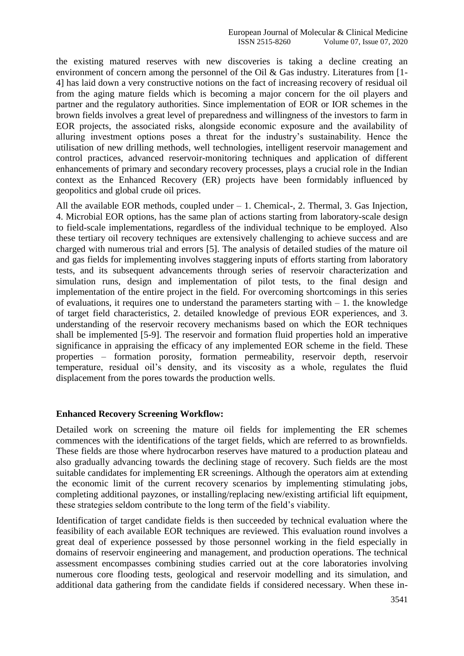the existing matured reserves with new discoveries is taking a decline creating an environment of concern among the personnel of the Oil & Gas industry. Literatures from [1- 4] has laid down a very constructive notions on the fact of increasing recovery of residual oil from the aging mature fields which is becoming a major concern for the oil players and partner and the regulatory authorities. Since implementation of EOR or IOR schemes in the brown fields involves a great level of preparedness and willingness of the investors to farm in EOR projects, the associated risks, alongside economic exposure and the availability of alluring investment options poses a threat for the industry's sustainability. Hence the utilisation of new drilling methods, well technologies, intelligent reservoir management and control practices, advanced reservoir-monitoring techniques and application of different enhancements of primary and secondary recovery processes, plays a crucial role in the Indian context as the Enhanced Recovery (ER) projects have been formidably influenced by geopolitics and global crude oil prices.

All the available EOR methods, coupled under – 1. Chemical-, 2. Thermal, 3. Gas Injection, 4. Microbial EOR options, has the same plan of actions starting from laboratory-scale design to field-scale implementations, regardless of the individual technique to be employed. Also these tertiary oil recovery techniques are extensively challenging to achieve success and are charged with numerous trial and errors [5]. The analysis of detailed studies of the mature oil and gas fields for implementing involves staggering inputs of efforts starting from laboratory tests, and its subsequent advancements through series of reservoir characterization and simulation runs, design and implementation of pilot tests, to the final design and implementation of the entire project in the field. For overcoming shortcomings in this series of evaluations, it requires one to understand the parameters starting with  $-1$ . the knowledge of target field characteristics, 2. detailed knowledge of previous EOR experiences, and 3. understanding of the reservoir recovery mechanisms based on which the EOR techniques shall be implemented [5-9]. The reservoir and formation fluid properties hold an imperative significance in appraising the efficacy of any implemented EOR scheme in the field. These properties – formation porosity, formation permeability, reservoir depth, reservoir temperature, residual oil's density, and its viscosity as a whole, regulates the fluid displacement from the pores towards the production wells.

## **Enhanced Recovery Screening Workflow:**

Detailed work on screening the mature oil fields for implementing the ER schemes commences with the identifications of the target fields, which are referred to as brownfields. These fields are those where hydrocarbon reserves have matured to a production plateau and also gradually advancing towards the declining stage of recovery. Such fields are the most suitable candidates for implementing ER screenings. Although the operators aim at extending the economic limit of the current recovery scenarios by implementing stimulating jobs, completing additional payzones, or installing/replacing new/existing artificial lift equipment, these strategies seldom contribute to the long term of the field's viability.

Identification of target candidate fields is then succeeded by technical evaluation where the feasibility of each available EOR techniques are reviewed. This evaluation round involves a great deal of experience possessed by those personnel working in the field especially in domains of reservoir engineering and management, and production operations. The technical assessment encompasses combining studies carried out at the core laboratories involving numerous core flooding tests, geological and reservoir modelling and its simulation, and additional data gathering from the candidate fields if considered necessary. When these in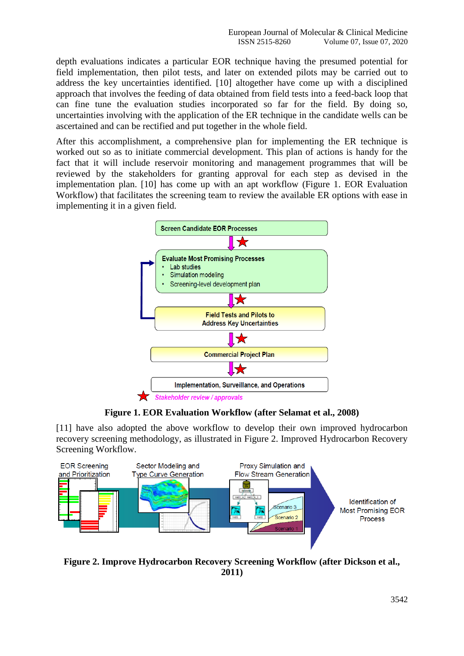depth evaluations indicates a particular EOR technique having the presumed potential for field implementation, then pilot tests, and later on extended pilots may be carried out to address the key uncertainties identified. [10] altogether have come up with a disciplined approach that involves the feeding of data obtained from field tests into a feed-back loop that can fine tune the evaluation studies incorporated so far for the field. By doing so, uncertainties involving with the application of the ER technique in the candidate wells can be ascertained and can be rectified and put together in the whole field.

After this accomplishment, a comprehensive plan for implementing the ER technique is worked out so as to initiate commercial development. This plan of actions is handy for the fact that it will include reservoir monitoring and management programmes that will be reviewed by the stakeholders for granting approval for each step as devised in the implementation plan. [10] has come up with an apt workflow (Figure 1. EOR Evaluation Workflow) that facilitates the screening team to review the available ER options with ease in implementing it in a given field.



**Figure 1. EOR Evaluation Workflow (after Selamat et al., 2008)**

[11] have also adopted the above workflow to develop their own improved hydrocarbon recovery screening methodology, as illustrated in Figure 2. Improved Hydrocarbon Recovery Screening Workflow.



**Figure 2. Improve Hydrocarbon Recovery Screening Workflow (after Dickson et al., 2011)**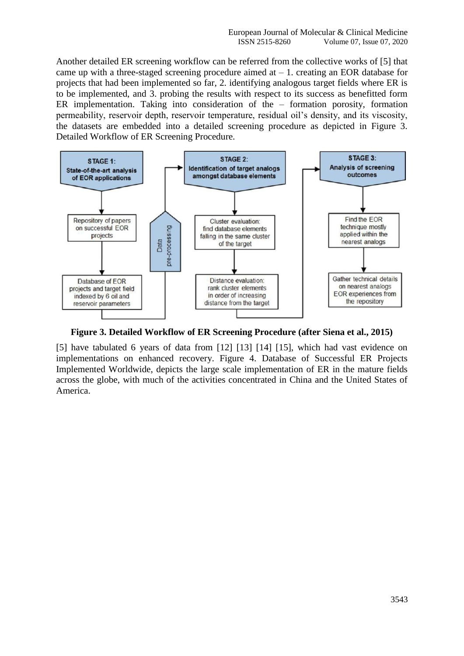Another detailed ER screening workflow can be referred from the collective works of [5] that came up with a three-staged screening procedure aimed at  $-1$ . creating an EOR database for projects that had been implemented so far, 2. identifying analogous target fields where ER is to be implemented, and 3. probing the results with respect to its success as benefitted form ER implementation. Taking into consideration of the – formation porosity, formation permeability, reservoir depth, reservoir temperature, residual oil's density, and its viscosity, the datasets are embedded into a detailed screening procedure as depicted in Figure 3. Detailed Workflow of ER Screening Procedure.



**Figure 3. Detailed Workflow of ER Screening Procedure (after Siena et al., 2015)**

[5] have tabulated 6 years of data from [12] [13] [14] [15], which had vast evidence on implementations on enhanced recovery. Figure 4. Database of Successful ER Projects Implemented Worldwide, depicts the large scale implementation of ER in the mature fields across the globe, with much of the activities concentrated in China and the United States of America.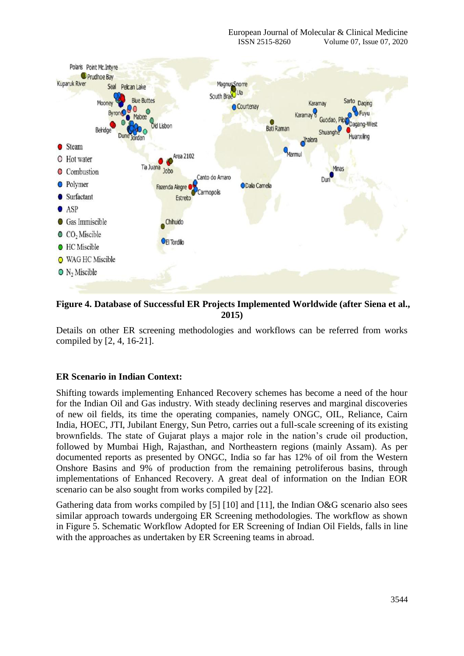

**Figure 4. Database of Successful ER Projects Implemented Worldwide (after Siena et al., 2015)**

Details on other ER screening methodologies and workflows can be referred from works compiled by [2, 4, 16-21].

# **ER Scenario in Indian Context:**

Shifting towards implementing Enhanced Recovery schemes has become a need of the hour for the Indian Oil and Gas industry. With steady declining reserves and marginal discoveries of new oil fields, its time the operating companies, namely ONGC, OIL, Reliance, Cairn India, HOEC, JTI, Jubilant Energy, Sun Petro, carries out a full-scale screening of its existing brownfields. The state of Gujarat plays a major role in the nation's crude oil production, followed by Mumbai High, Rajasthan, and Northeastern regions (mainly Assam). As per documented reports as presented by ONGC, India so far has 12% of oil from the Western Onshore Basins and 9% of production from the remaining petroliferous basins, through implementations of Enhanced Recovery. A great deal of information on the Indian EOR scenario can be also sought from works compiled by [22].

Gathering data from works compiled by [5] [10] and [11], the Indian O&G scenario also sees similar approach towards undergoing ER Screening methodologies. The workflow as shown in Figure 5. Schematic Workflow Adopted for ER Screening of Indian Oil Fields, falls in line with the approaches as undertaken by ER Screening teams in abroad.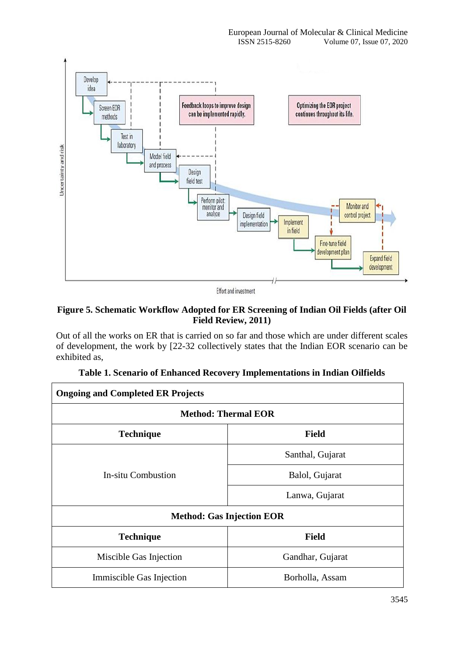

Effort and investment

# **Figure 5. Schematic Workflow Adopted for ER Screening of Indian Oil Fields (after Oil Field Review, 2011)**

Out of all the works on ER that is carried on so far and those which are under different scales of development, the work by [22-32 collectively states that the Indian EOR scenario can be exhibited as,

| <b>Ongoing and Completed ER Projects</b> |                  |  |  |  |  |
|------------------------------------------|------------------|--|--|--|--|
| <b>Method: Thermal EOR</b>               |                  |  |  |  |  |
| <b>Technique</b>                         | <b>Field</b>     |  |  |  |  |
|                                          | Santhal, Gujarat |  |  |  |  |
| In-situ Combustion                       | Balol, Gujarat   |  |  |  |  |
|                                          | Lanwa, Gujarat   |  |  |  |  |
| <b>Method: Gas Injection EOR</b>         |                  |  |  |  |  |
| <b>Technique</b>                         | <b>Field</b>     |  |  |  |  |
| Miscible Gas Injection                   | Gandhar, Gujarat |  |  |  |  |
| Immiscible Gas Injection                 | Borholla, Assam  |  |  |  |  |

|  | Table 1. Scenario of Enhanced Recovery Implementations in Indian Oilfields |  |  |  |  |  |
|--|----------------------------------------------------------------------------|--|--|--|--|--|
|  |                                                                            |  |  |  |  |  |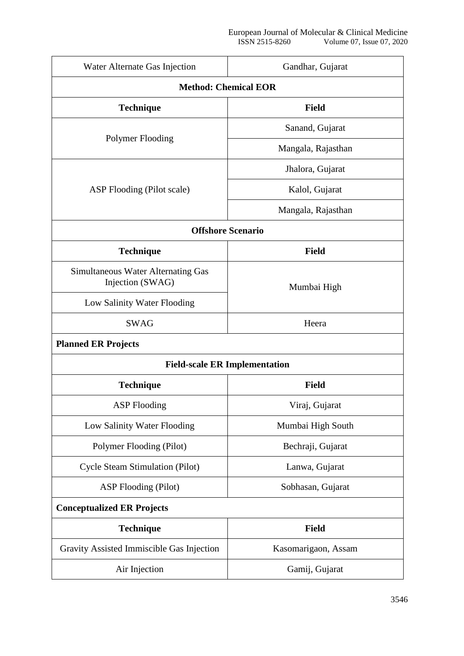| Water Alternate Gas Injection                                 | Gandhar, Gujarat    |  |  |  |  |  |
|---------------------------------------------------------------|---------------------|--|--|--|--|--|
| <b>Method: Chemical EOR</b>                                   |                     |  |  |  |  |  |
| <b>Technique</b>                                              | <b>Field</b>        |  |  |  |  |  |
|                                                               | Sanand, Gujarat     |  |  |  |  |  |
| Polymer Flooding                                              | Mangala, Rajasthan  |  |  |  |  |  |
|                                                               | Jhalora, Gujarat    |  |  |  |  |  |
| ASP Flooding (Pilot scale)                                    | Kalol, Gujarat      |  |  |  |  |  |
|                                                               | Mangala, Rajasthan  |  |  |  |  |  |
| <b>Offshore Scenario</b>                                      |                     |  |  |  |  |  |
| <b>Technique</b>                                              | <b>Field</b>        |  |  |  |  |  |
| <b>Simultaneous Water Alternating Gas</b><br>Injection (SWAG) | Mumbai High         |  |  |  |  |  |
| Low Salinity Water Flooding                                   |                     |  |  |  |  |  |
| <b>SWAG</b>                                                   | Heera               |  |  |  |  |  |
| <b>Planned ER Projects</b>                                    |                     |  |  |  |  |  |
| <b>Field-scale ER Implementation</b>                          |                     |  |  |  |  |  |
| <b>Technique</b>                                              | <b>Field</b>        |  |  |  |  |  |
| <b>ASP</b> Flooding                                           | Viraj, Gujarat      |  |  |  |  |  |
| Low Salinity Water Flooding                                   | Mumbai High South   |  |  |  |  |  |
| Polymer Flooding (Pilot)                                      | Bechraji, Gujarat   |  |  |  |  |  |
| <b>Cycle Steam Stimulation (Pilot)</b>                        | Lanwa, Gujarat      |  |  |  |  |  |
| <b>ASP Flooding (Pilot)</b>                                   | Sobhasan, Gujarat   |  |  |  |  |  |
| <b>Conceptualized ER Projects</b>                             |                     |  |  |  |  |  |
| <b>Technique</b>                                              | <b>Field</b>        |  |  |  |  |  |
| Gravity Assisted Immiscible Gas Injection                     | Kasomarigaon, Assam |  |  |  |  |  |
| Air Injection                                                 | Gamij, Gujarat      |  |  |  |  |  |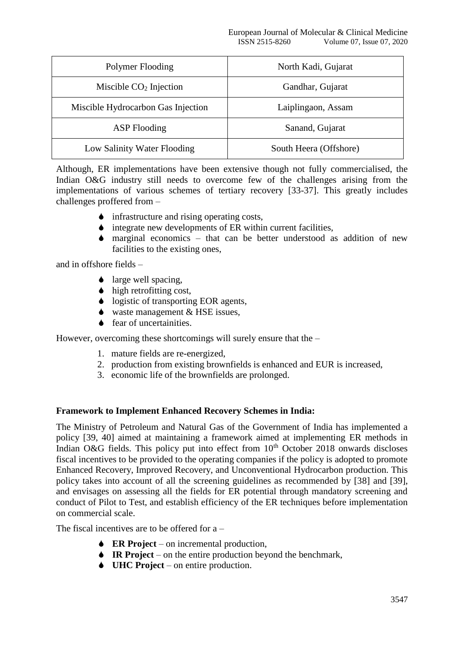| Polymer Flooding                   | North Kadi, Gujarat    |
|------------------------------------|------------------------|
| Miscible $CO2$ Injection           | Gandhar, Gujarat       |
| Miscible Hydrocarbon Gas Injection | Laiplingaon, Assam     |
| <b>ASP</b> Flooding                | Sanand, Gujarat        |
| Low Salinity Water Flooding        | South Heera (Offshore) |

Although, ER implementations have been extensive though not fully commercialised, the Indian O&G industry still needs to overcome few of the challenges arising from the implementations of various schemes of tertiary recovery [33-37]. This greatly includes challenges proffered from –

- infrastructure and rising operating costs,
- $\bullet$  integrate new developments of ER within current facilities,
- $\bullet$  marginal economics that can be better understood as addition of new facilities to the existing ones,

and in offshore fields –

- ◆ large well spacing.
- $\bullet$  high retrofitting cost,
- logistic of transporting EOR agents,
- $\bullet$  waste management & HSE issues.
- $\bullet$  fear of uncertainities.

However, overcoming these shortcomings will surely ensure that the –

- 1. mature fields are re-energized,
- 2. production from existing brownfields is enhanced and EUR is increased,
- 3. economic life of the brownfields are prolonged.

#### **Framework to Implement Enhanced Recovery Schemes in India:**

The Ministry of Petroleum and Natural Gas of the Government of India has implemented a policy [39, 40] aimed at maintaining a framework aimed at implementing ER methods in Indian O&G fields. This policy put into effect from  $10<sup>th</sup>$  October 2018 onwards discloses fiscal incentives to be provided to the operating companies if the policy is adopted to promote Enhanced Recovery, Improved Recovery, and Unconventional Hydrocarbon production. This policy takes into account of all the screening guidelines as recommended by [38] and [39], and envisages on assessing all the fields for ER potential through mandatory screening and conduct of Pilot to Test, and establish efficiency of the ER techniques before implementation on commercial scale.

The fiscal incentives are to be offered for a –

- **ER Project** on incremental production,
- **IR Project** on the entire production beyond the benchmark,
- **↓ UHC Project** on entire production.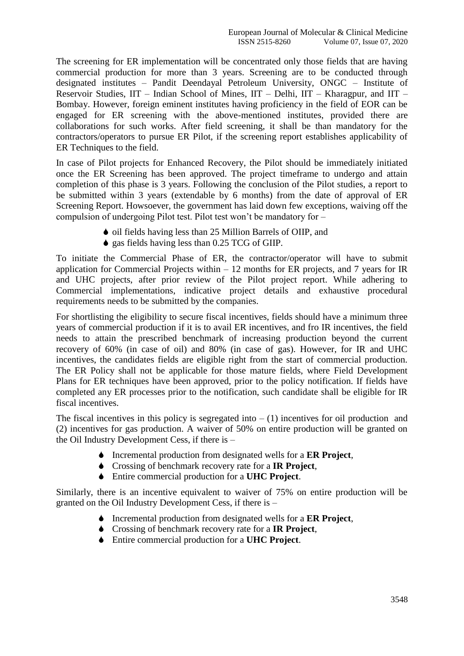The screening for ER implementation will be concentrated only those fields that are having commercial production for more than 3 years. Screening are to be conducted through designated institutes – Pandit Deendayal Petroleum University, ONGC – Institute of Reservoir Studies, IIT – Indian School of Mines, IIT – Delhi, IIT – Kharagpur, and IIT – Bombay. However, foreign eminent institutes having proficiency in the field of EOR can be engaged for ER screening with the above-mentioned institutes, provided there are collaborations for such works. After field screening, it shall be than mandatory for the contractors/operators to pursue ER Pilot, if the screening report establishes applicability of ER Techniques to the field.

In case of Pilot projects for Enhanced Recovery, the Pilot should be immediately initiated once the ER Screening has been approved. The project timeframe to undergo and attain completion of this phase is 3 years. Following the conclusion of the Pilot studies, a report to be submitted within 3 years (extendable by 6 months) from the date of approval of ER Screening Report. Howsoever, the government has laid down few exceptions, waiving off the compulsion of undergoing Pilot test. Pilot test won't be mandatory for –

- oil fields having less than 25 Million Barrels of OIIP, and
- $\bullet$  gas fields having less than 0.25 TCG of GIIP.

To initiate the Commercial Phase of ER, the contractor/operator will have to submit application for Commercial Projects within  $-12$  months for ER projects, and 7 years for IR and UHC projects, after prior review of the Pilot project report. While adhering to Commercial implementations, indicative project details and exhaustive procedural requirements needs to be submitted by the companies.

For shortlisting the eligibility to secure fiscal incentives, fields should have a minimum three years of commercial production if it is to avail ER incentives, and fro IR incentives, the field needs to attain the prescribed benchmark of increasing production beyond the current recovery of 60% (in case of oil) and 80% (in case of gas). However, for IR and UHC incentives, the candidates fields are eligible right from the start of commercial production. The ER Policy shall not be applicable for those mature fields, where Field Development Plans for ER techniques have been approved, prior to the policy notification. If fields have completed any ER processes prior to the notification, such candidate shall be eligible for IR fiscal incentives.

The fiscal incentives in this policy is segregated into  $- (1)$  incentives for oil production and (2) incentives for gas production. A waiver of 50% on entire production will be granted on the Oil Industry Development Cess, if there is –

- Incremental production from designated wells for a **ER Project**,
- Crossing of benchmark recovery rate for a **IR Project**,
- Entire commercial production for a **UHC Project**.

Similarly, there is an incentive equivalent to waiver of 75% on entire production will be granted on the Oil Industry Development Cess, if there is –

- Incremental production from designated wells for a **ER Project**,
- Crossing of benchmark recovery rate for a **IR Project**,
- Entire commercial production for a **UHC Project**.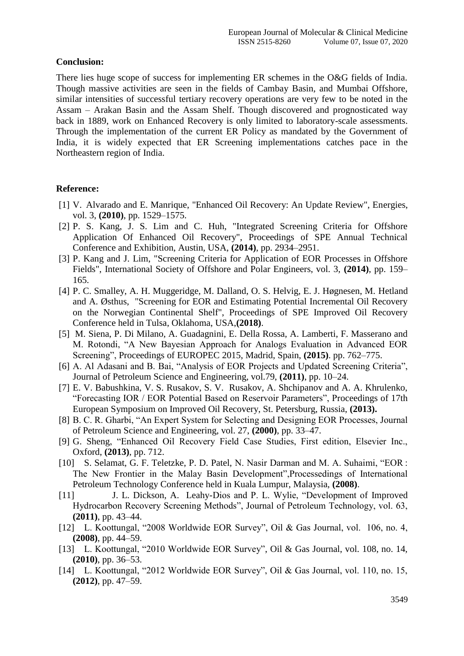# **Conclusion:**

There lies huge scope of success for implementing ER schemes in the O&G fields of India. Though massive activities are seen in the fields of Cambay Basin, and Mumbai Offshore, similar intensities of successful tertiary recovery operations are very few to be noted in the Assam – Arakan Basin and the Assam Shelf. Though discovered and prognosticated way back in 1889, work on Enhanced Recovery is only limited to laboratory-scale assessments. Through the implementation of the current ER Policy as mandated by the Government of India, it is widely expected that ER Screening implementations catches pace in the Northeastern region of India.

## **Reference:**

- [1] V. Alvarado and E. Manrique, "Enhanced Oil Recovery: An Update Review", Energies, vol. 3, **(2010)**, pp. 1529–1575.
- [2] P. S. Kang, J. S. Lim and C. Huh, "Integrated Screening Criteria for Offshore Application Of Enhanced Oil Recovery", Proceedings of SPE Annual Technical Conference and Exhibition, Austin, USA, **(2014)**, pp. 2934–2951.
- [3] P. Kang and J. Lim, "Screening Criteria for Application of EOR Processes in Offshore Fields", International Society of Offshore and Polar Engineers, vol. 3, **(2014)**, pp. 159– 165.
- [4] P. C. Smalley, A. H. Muggeridge, M. Dalland, O. S. Helvig, E. J. Høgnesen, M. Hetland and A. Østhus, "Screening for EOR and Estimating Potential Incremental Oil Recovery on the Norwegian Continental Shelf", Proceedings of SPE Improved Oil Recovery Conference held in Tulsa, Oklahoma, USA,**(2018)**.
- [5] M. Siena, P. Di Milano, A. Guadagnini, E. Della Rossa, A. Lamberti, F. Masserano and M. Rotondi, "A New Bayesian Approach for Analogs Evaluation in Advanced EOR Screening", Proceedings of EUROPEC 2015, Madrid, Spain, **(2015)**. pp. 762–775.
- [6] A. Al Adasani and B. Bai, "Analysis of EOR Projects and Updated Screening Criteria", Journal of Petroleum Science and Engineering, vol.79, **(2011)**, pp. 10–24.
- [7] E. V. Babushkina, V. S. Rusakov, S. V. Rusakov, A. Shchipanov and A. A. Khrulenko, "Forecasting IOR / EOR Potential Based on Reservoir Parameters", Proceedings of 17th European Symposium on Improved Oil Recovery, St. Petersburg, Russia, **(2013).**
- [8] B. C. R. Gharbi, "An Expert System for Selecting and Designing EOR Processes, Journal of Petroleum Science and Engineering, vol. 27, **(2000)**, pp. 33–47.
- [9] G. Sheng, "Enhanced Oil Recovery Field Case Studies, First edition, Elsevier Inc., Oxford, **(2013)**, pp. 712.
- [10] S. Selamat, G. F. Teletzke, P. D. Patel, N. Nasir Darman and M. A. Suhaimi, "EOR : The New Frontier in the Malay Basin Development",Processedings of International Petroleum Technology Conference held in Kuala Lumpur, Malaysia, **(2008)**.
- [11] J. L. Dickson, A. Leahy-Dios and P. L. Wylie, "Development of Improved Hydrocarbon Recovery Screening Methods", Journal of Petroleum Technology, vol. 63, **(2011)**, pp. 43–44.
- [12] L. Koottungal, "2008 Worldwide EOR Survey", Oil & Gas Journal, vol. 106, no. 4, **(2008)**, pp. 44–59.
- [13] L. Koottungal, "2010 Worldwide EOR Survey", Oil & Gas Journal, vol. 108, no. 14, **(2010)**, pp. 36–53.
- [14] L. Koottungal, "2012 Worldwide EOR Survey", Oil & Gas Journal, vol. 110, no. 15, **(2012)**, pp. 47–59.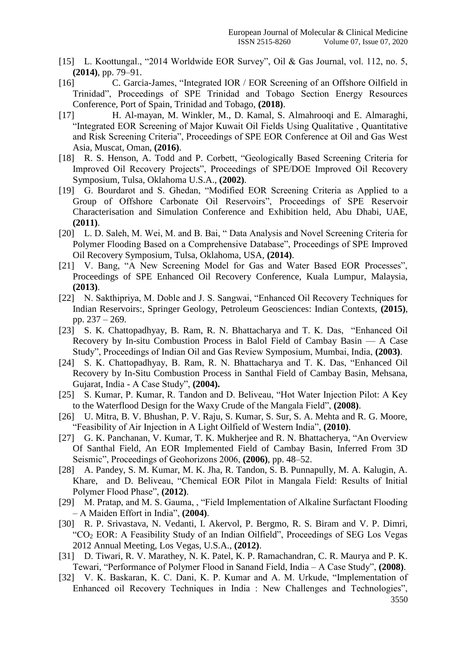- [15] L. Koottungal., "2014 Worldwide EOR Survey", Oil & Gas Journal, vol. 112, no. 5, **(2014)**, pp. 79–91.
- [16] C. Garcia-James, "Integrated IOR / EOR Screening of an Offshore Oilfield in Trinidad", Proceedings of SPE Trinidad and Tobago Section Energy Resources Conference, Port of Spain, Trinidad and Tobago, **(2018)**.
- [17] H. Al-mayan, M. Winkler, M., D. Kamal, S. Almahrooqi and E. Almaraghi, "Integrated EOR Screening of Major Kuwait Oil Fields Using Qualitative , Quantitative and Risk Screening Criteria", Proceedings of SPE EOR Conference at Oil and Gas West Asia, Muscat, Oman, **(2016)**.
- [18] R. S. Henson, A. Todd and P. Corbett, "Geologically Based Screening Criteria for Improved Oil Recovery Projects", Proceedings of SPE/DOE Improved Oil Recovery Symposium, Tulsa, Oklahoma U.S.A., **(2002)**.
- [19] G. Bourdarot and S. Ghedan, "Modified EOR Screening Criteria as Applied to a Group of Offshore Carbonate Oil Reservoirs", Proceedings of SPE Reservoir Characterisation and Simulation Conference and Exhibition held, Abu Dhabi, UAE, **(2011)**.
- [20] L. D. Saleh, M. Wei, M. and B. Bai, "Data Analysis and Novel Screening Criteria for Polymer Flooding Based on a Comprehensive Database", Proceedings of SPE Improved Oil Recovery Symposium, Tulsa, Oklahoma, USA, **(2014)**.
- [21] V. Bang, "A New Screening Model for Gas and Water Based EOR Processes", Proceedings of SPE Enhanced Oil Recovery Conference, Kuala Lumpur, Malaysia, **(2013)**.
- [22] N. Sakthipriya, M. Doble and J. S. Sangwai, "Enhanced Oil Recovery Techniques for Indian Reservoirs:, Springer Geology, Petroleum Geosciences: Indian Contexts, **(2015)**, pp. 237 – 269.
- [23] S. K. Chattopadhyay, B. Ram, R. N. Bhattacharya and T. K. Das, "Enhanced Oil Recovery by In-situ Combustion Process in Balol Field of Cambay Basin — A Case Study", Proceedings of Indian Oil and Gas Review Symposium, Mumbai, India, **(2003)**.
- [24] S. K. Chattopadhyay, B. Ram, R. N. Bhattacharya and T. K. Das, "Enhanced Oil Recovery by In-Situ Combustion Process in Santhal Field of Cambay Basin, Mehsana, Gujarat, India - A Case Study", **(2004).**
- [25] S. Kumar, P. Kumar, R. Tandon and D. Beliveau, "Hot Water Injection Pilot: A Key to the Waterflood Design for the Waxy Crude of the Mangala Field", **(2008)**.
- [26] U. Mitra, B. V. Bhushan, P. V. Raju, S. Kumar, S. Sur, S. A. Mehta and R. G. Moore, "Feasibility of Air Injection in A Light Oilfield of Western India", **(2010)**.
- [27] G. K. Panchanan, V. Kumar, T. K. Mukherjee and R. N. Bhattacherya, "An Overview Of Santhal Field, An EOR Implemented Field of Cambay Basin, Inferred From 3D Seismic", Proceedings of Geohorizons 2006, **(2006)**, pp. 48–52.
- [28] A. Pandey, S. M. Kumar, M. K. Jha, R. Tandon, S. B. Punnapully, M. A. Kalugin, A. Khare, and D. Beliveau, "Chemical EOR Pilot in Mangala Field: Results of Initial Polymer Flood Phase", **(2012)**.
- [29] M. Pratap, and M. S. Gauma, , "Field Implementation of Alkaline Surfactant Flooding – A Maiden Effort in India", **(2004)**.
- [30] R. P. Srivastava, N. Vedanti, I. Akervol, P. Bergmo, R. S. Biram and V. P. Dimri, "CO<sup>2</sup> EOR: A Feasibility Study of an Indian Oilfield", Proceedings of SEG Los Vegas 2012 Annual Meeting, Los Vegas, U.S.A., **(2012)**.
- [31] D. Tiwari, R. V. Marathey, N. K. Patel, K. P. Ramachandran, C. R. Maurya and P. K. Tewari, "Performance of Polymer Flood in Sanand Field, India – A Case Study", **(2008)**.
- [32] V. K. Baskaran, K. C. Dani, K. P. Kumar and A. M. Urkude, "Implementation of Enhanced oil Recovery Techniques in India : New Challenges and Technologies",

3550